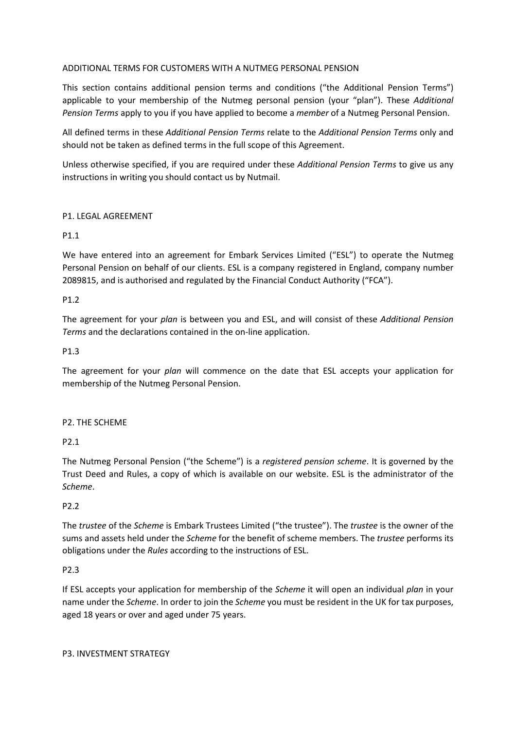#### ADDITIONAL TERMS FOR CUSTOMERS WITH A NUTMEG PERSONAL PENSION

This section contains additional pension terms and conditions ("the Additional Pension Terms") applicable to your membership of the Nutmeg personal pension (your "plan"). These *Additional Pension Terms* apply to you if you have applied to become a *member* of a Nutmeg Personal Pension.

All defined terms in these *Additional Pension Terms* relate to the *Additional Pension Terms* only and should not be taken as defined terms in the full scope of this Agreement.

Unless otherwise specified, if you are required under these *Additional Pension Terms* to give us any instructions in writing you should contact us by Nutmail.

## P1. LEGAL AGREEMENT

#### P1.1

We have entered into an agreement for Embark Services Limited ("ESL") to operate the Nutmeg Personal Pension on behalf of our clients. ESL is a company registered in England, company number 2089815, and is authorised and regulated by the Financial Conduct Authority ("FCA").

#### P1.2

The agreement for your *plan* is between you and ESL, and will consist of these *Additional Pension Terms* and the declarations contained in the on-line application.

#### P1.3

The agreement for your *plan* will commence on the date that ESL accepts your application for membership of the Nutmeg Personal Pension.

#### P2. THE SCHEME

P2.1

The Nutmeg Personal Pension ("the Scheme") is a *registered pension scheme*. It is governed by the Trust Deed and Rules, a copy of which is available on our website. ESL is the administrator of the *Scheme*.

## P2.2

The *trustee* of the *Scheme* is Embark Trustees Limited ("the trustee"). The *trustee* is the owner of the sums and assets held under the *Scheme* for the benefit of scheme members. The *trustee* performs its obligations under the *Rules* according to the instructions of ESL.

#### P2.3

If ESL accepts your application for membership of the *Scheme* it will open an individual *plan* in your name under the *Scheme*. In order to join the *Scheme* you must be resident in the UK for tax purposes, aged 18 years or over and aged under 75 years.

#### P3. INVESTMENT STRATEGY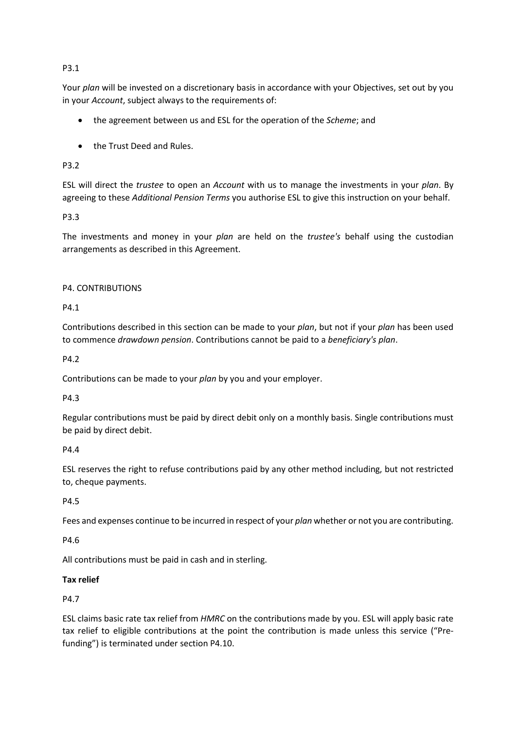## P3.1

Your *plan* will be invested on a discretionary basis in accordance with your Objectives, set out by you in your *Account*, subject always to the requirements of:

- the agreement between us and ESL for the operation of the *Scheme*; and
- the Trust Deed and Rules.

## P3.2

ESL will direct the *trustee* to open an *Account* with us to manage the investments in your *plan*. By agreeing to these *Additional Pension Terms* you authorise ESL to give this instruction on your behalf.

## P3.3

The investments and money in your *plan* are held on the *trustee's* behalf using the custodian arrangements as described in this Agreement.

# P4. CONTRIBUTIONS

# P4.1

Contributions described in this section can be made to your *plan*, but not if your *plan* has been used to commence *drawdown pension*. Contributions cannot be paid to a *beneficiary's plan*.

P4.2

Contributions can be made to your *plan* by you and your employer.

P4.3

Regular contributions must be paid by direct debit only on a monthly basis. Single contributions must be paid by direct debit.

# P4.4

ESL reserves the right to refuse contributions paid by any other method including, but not restricted to, cheque payments.

# P4.5

Fees and expenses continue to be incurred in respect of your *plan* whether or not you are contributing.

P4.6

All contributions must be paid in cash and in sterling.

# **Tax relief**

P4.7

ESL claims basic rate tax relief from *HMRC* on the contributions made by you. ESL will apply basic rate tax relief to eligible contributions at the point the contribution is made unless this service ("Prefunding") is terminated under section P4.10.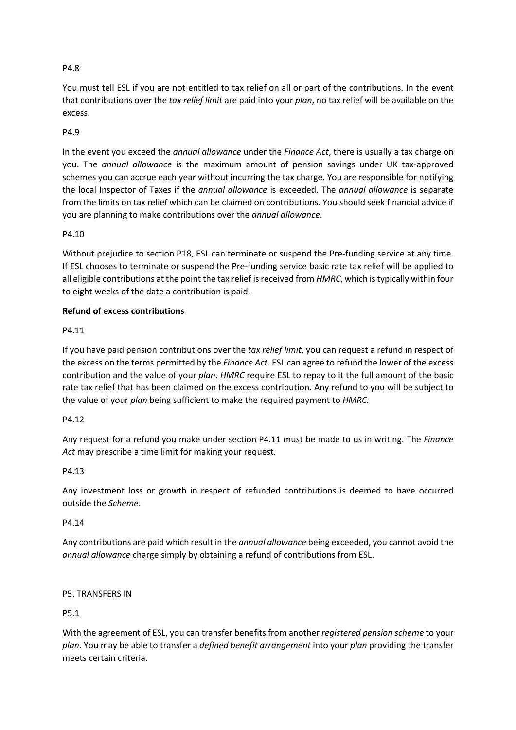## P4.8

You must tell ESL if you are not entitled to tax relief on all or part of the contributions. In the event that contributions over the *tax relief limit* are paid into your *plan*, no tax relief will be available on the excess.

## P4.9

In the event you exceed the *annual allowance* under the *Finance Act*, there is usually a tax charge on you. The *annual allowance* is the maximum amount of pension savings under UK tax-approved schemes you can accrue each year without incurring the tax charge. You are responsible for notifying the local Inspector of Taxes if the *annual allowance* is exceeded. The *annual allowance* is separate from the limits on tax relief which can be claimed on contributions. You should seek financial advice if you are planning to make contributions over the *annual allowance*.

## P4.10

Without prejudice to section P18, ESL can terminate or suspend the Pre-funding service at any time. If ESL chooses to terminate or suspend the Pre-funding service basic rate tax relief will be applied to all eligible contributions at the point the tax relief is received from *HMRC*, which is typically within four to eight weeks of the date a contribution is paid.

# **Refund of excess contributions**

P4.11

If you have paid pension contributions over the *tax relief limit*, you can request a refund in respect of the excess on the terms permitted by the *Finance Act*. ESL can agree to refund the lower of the excess contribution and the value of your *plan*. *HMRC* require ESL to repay to it the full amount of the basic rate tax relief that has been claimed on the excess contribution. Any refund to you will be subject to the value of your *plan* being sufficient to make the required payment to *HMRC.*

## P4.12

Any request for a refund you make under section P4.11 must be made to us in writing. The *Finance Act* may prescribe a time limit for making your request.

## P4.13

Any investment loss or growth in respect of refunded contributions is deemed to have occurred outside the *Scheme*.

## P4.14

Any contributions are paid which result in the *annual allowance* being exceeded, you cannot avoid the *annual allowance* charge simply by obtaining a refund of contributions from ESL.

## P5. TRANSFERS IN

## P5.1

With the agreement of ESL, you can transfer benefits from another *registered pension scheme* to your *plan*. You may be able to transfer a *defined benefit arrangement* into your *plan* providing the transfer meets certain criteria.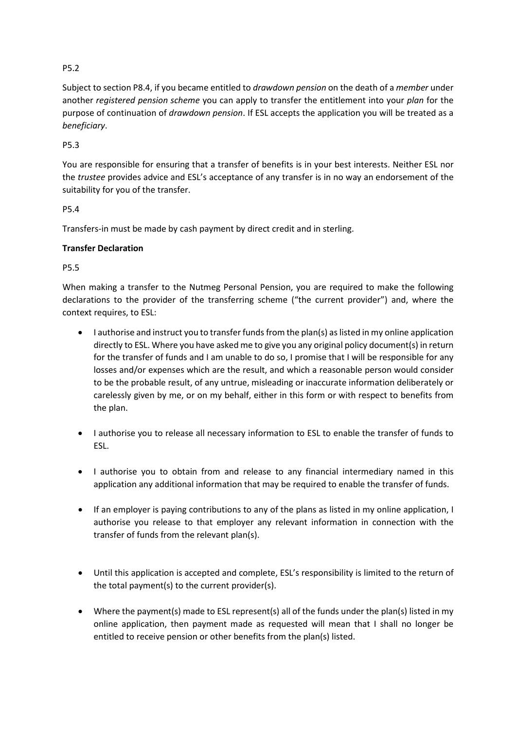# P5.2

Subject to section P8.4, if you became entitled to *drawdown pension* on the death of a *member* under another *registered pension scheme* you can apply to transfer the entitlement into your *plan* for the purpose of continuation of *drawdown pension*. If ESL accepts the application you will be treated as a *beneficiary*.

# P5.3

You are responsible for ensuring that a transfer of benefits is in your best interests. Neither ESL nor the *trustee* provides advice and ESL's acceptance of any transfer is in no way an endorsement of the suitability for you of the transfer.

## P5.4

Transfers-in must be made by cash payment by direct credit and in sterling.

# **Transfer Declaration**

# P5.5

When making a transfer to the Nutmeg Personal Pension, you are required to make the following declarations to the provider of the transferring scheme ("the current provider") and, where the context requires, to ESL:

- I authorise and instruct you to transfer funds from the plan(s) as listed in my online application directly to ESL. Where you have asked me to give you any original policy document(s) in return for the transfer of funds and I am unable to do so, I promise that I will be responsible for any losses and/or expenses which are the result, and which a reasonable person would consider to be the probable result, of any untrue, misleading or inaccurate information deliberately or carelessly given by me, or on my behalf, either in this form or with respect to benefits from the plan.
- I authorise you to release all necessary information to ESL to enable the transfer of funds to ESL.
- I authorise you to obtain from and release to any financial intermediary named in this application any additional information that may be required to enable the transfer of funds.
- If an employer is paying contributions to any of the plans as listed in my online application, I authorise you release to that employer any relevant information in connection with the transfer of funds from the relevant plan(s).
- Until this application is accepted and complete, ESL's responsibility is limited to the return of the total payment(s) to the current provider(s).
- Where the payment(s) made to ESL represent(s) all of the funds under the plan(s) listed in my online application, then payment made as requested will mean that I shall no longer be entitled to receive pension or other benefits from the plan(s) listed.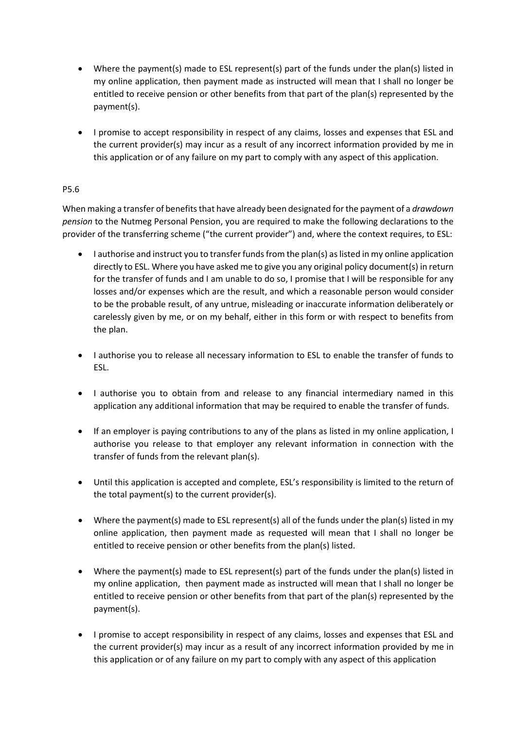- Where the payment(s) made to ESL represent(s) part of the funds under the plan(s) listed in my online application, then payment made as instructed will mean that I shall no longer be entitled to receive pension or other benefits from that part of the plan(s) represented by the payment(s).
- I promise to accept responsibility in respect of any claims, losses and expenses that ESL and the current provider(s) may incur as a result of any incorrect information provided by me in this application or of any failure on my part to comply with any aspect of this application.

# P5.6

When making a transfer of benefits that have already been designated for the payment of a *drawdown pension* to the Nutmeg Personal Pension, you are required to make the following declarations to the provider of the transferring scheme ("the current provider") and, where the context requires, to ESL:

- I authorise and instruct you to transfer funds from the plan(s) as listed in my online application directly to ESL. Where you have asked me to give you any original policy document(s) in return for the transfer of funds and I am unable to do so, I promise that I will be responsible for any losses and/or expenses which are the result, and which a reasonable person would consider to be the probable result, of any untrue, misleading or inaccurate information deliberately or carelessly given by me, or on my behalf, either in this form or with respect to benefits from the plan.
- I authorise you to release all necessary information to ESL to enable the transfer of funds to ESL.
- I authorise you to obtain from and release to any financial intermediary named in this application any additional information that may be required to enable the transfer of funds.
- If an employer is paying contributions to any of the plans as listed in my online application, I authorise you release to that employer any relevant information in connection with the transfer of funds from the relevant plan(s).
- Until this application is accepted and complete, ESL's responsibility is limited to the return of the total payment(s) to the current provider(s).
- Where the payment(s) made to ESL represent(s) all of the funds under the plan(s) listed in my online application, then payment made as requested will mean that I shall no longer be entitled to receive pension or other benefits from the plan(s) listed.
- Where the payment(s) made to ESL represent(s) part of the funds under the plan(s) listed in my online application, then payment made as instructed will mean that I shall no longer be entitled to receive pension or other benefits from that part of the plan(s) represented by the payment(s).
- I promise to accept responsibility in respect of any claims, losses and expenses that ESL and the current provider(s) may incur as a result of any incorrect information provided by me in this application or of any failure on my part to comply with any aspect of this application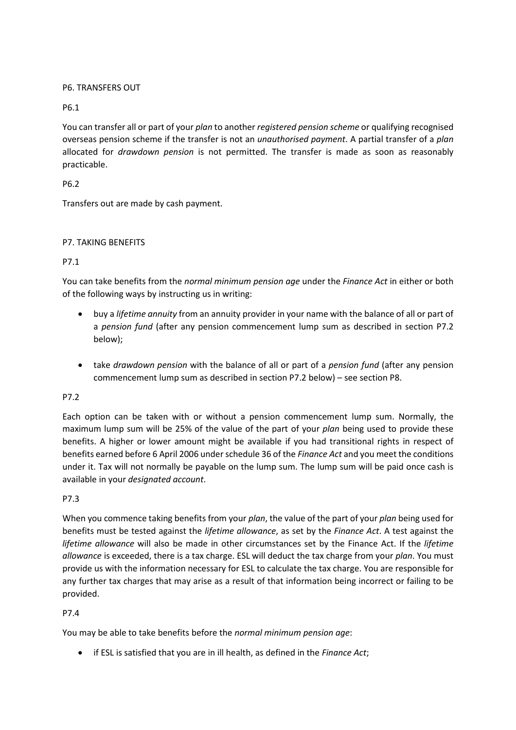## P6. TRANSFERS OUT

P6.1

You can transfer all or part of your *plan* to another *registered pension scheme* or qualifying recognised overseas pension scheme if the transfer is not an *unauthorised payment*. A partial transfer of a *plan* allocated for *drawdown pension* is not permitted. The transfer is made as soon as reasonably practicable.

#### P6.2

Transfers out are made by cash payment.

#### P7. TAKING BENEFITS

#### P7.1

You can take benefits from the *normal minimum pension age* under the *Finance Act* in either or both of the following ways by instructing us in writing:

- buy a *lifetime annuity* from an annuity provider in your name with the balance of all or part of a *pension fund* (after any pension commencement lump sum as described in section P7.2 below);
- take *drawdown pension* with the balance of all or part of a *pension fund* (after any pension commencement lump sum as described in section P7.2 below) – see section P8.

#### P7.2

Each option can be taken with or without a pension commencement lump sum. Normally, the maximum lump sum will be 25% of the value of the part of your *plan* being used to provide these benefits. A higher or lower amount might be available if you had transitional rights in respect of benefits earned before 6 April 2006 under schedule 36 of the *Finance Act* and you meet the conditions under it. Tax will not normally be payable on the lump sum. The lump sum will be paid once cash is available in your *designated account*.

#### P7.3

When you commence taking benefits from your *plan*, the value of the part of your *plan* being used for benefits must be tested against the *lifetime allowance*, as set by the *Finance Act*. A test against the *lifetime allowance* will also be made in other circumstances set by the Finance Act. If the *lifetime allowance* is exceeded, there is a tax charge. ESL will deduct the tax charge from your *plan*. You must provide us with the information necessary for ESL to calculate the tax charge. You are responsible for any further tax charges that may arise as a result of that information being incorrect or failing to be provided.

## P7.4

You may be able to take benefits before the *normal minimum pension age*:

• if ESL is satisfied that you are in ill health, as defined in the *Finance Act*;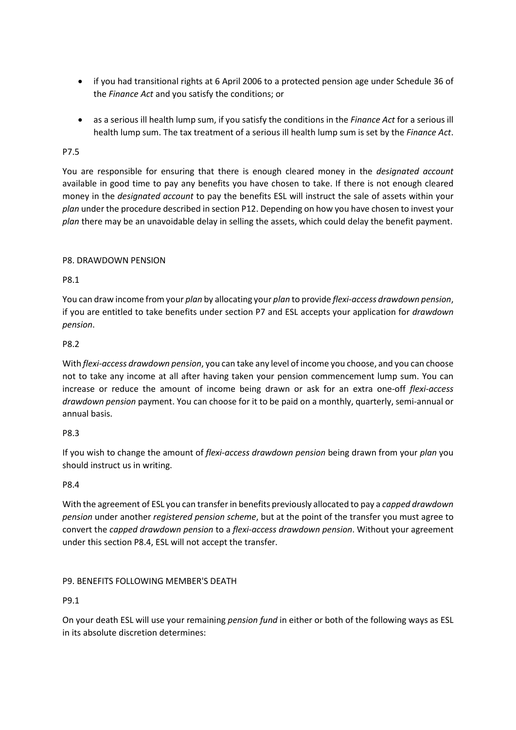- if you had transitional rights at 6 April 2006 to a protected pension age under Schedule 36 of the *Finance Act* and you satisfy the conditions; or
- as a serious ill health lump sum, if you satisfy the conditions in the *Finance Act* for a serious ill health lump sum. The tax treatment of a serious ill health lump sum is set by the *Finance Act*.

## P7.5

You are responsible for ensuring that there is enough cleared money in the *designated account* available in good time to pay any benefits you have chosen to take. If there is not enough cleared money in the *designated account* to pay the benefits ESL will instruct the sale of assets within your *plan* under the procedure described in section P12. Depending on how you have chosen to invest your *plan* there may be an unavoidable delay in selling the assets, which could delay the benefit payment.

## P8. DRAWDOWN PENSION

## P8.1

You can draw income from your *plan* by allocating your *plan* to provide *flexi-access drawdown pension*, if you are entitled to take benefits under section P7 and ESL accepts your application for *drawdown pension*.

# P8.2

With *flexi-access drawdown pension*, you can take any level of income you choose, and you can choose not to take any income at all after having taken your pension commencement lump sum. You can increase or reduce the amount of income being drawn or ask for an extra one-off *flexi-access drawdown pension* payment. You can choose for it to be paid on a monthly, quarterly, semi-annual or annual basis.

# P8.3

If you wish to change the amount of *flexi-access drawdown pension* being drawn from your *plan* you should instruct us in writing.

## P8.4

With the agreement of ESL you can transfer in benefits previously allocated to pay a *capped drawdown pension* under another *registered pension scheme*, but at the point of the transfer you must agree to convert the *capped drawdown pension* to a *flexi-access drawdown pension*. Without your agreement under this section P8.4, ESL will not accept the transfer.

# P9. BENEFITS FOLLOWING MEMBER'S DEATH

P9.1

On your death ESL will use your remaining *pension fund* in either or both of the following ways as ESL in its absolute discretion determines: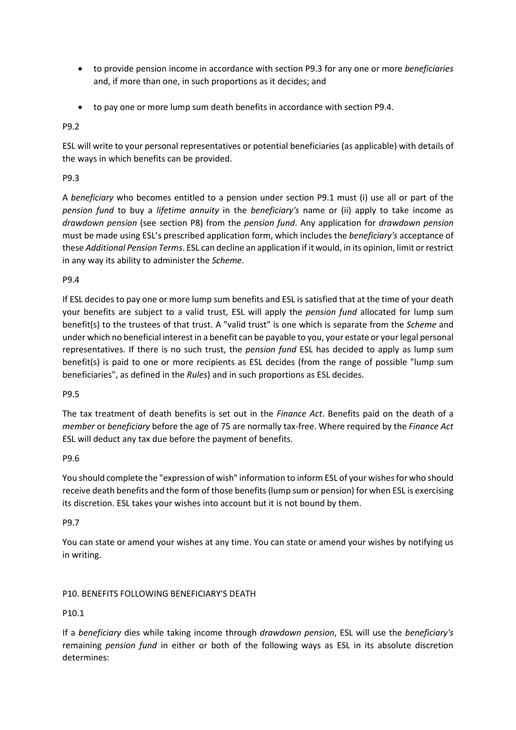- to provide pension income in accordance with section P9.3 for any one or more *beneficiaries* and, if more than one, in such proportions as it decides; and
- to pay one or more lump sum death benefits in accordance with section P9.4.

#### P9.2

ESL will write to your personal representatives or potential beneficiaries (as applicable) with details of the ways in which benefits can be provided.

#### P9.3

A *beneficiary* who becomes entitled to a pension under section P9.1 must (i) use all or part of the *pension fund* to buy a *lifetime annuity* in the *beneficiary's* name or (ii) apply to take income as *drawdown pension* (see section P8) from the *pension fund*. Any application for *drawdown pension* must be made using ESL's prescribed application form, which includes the *beneficiary's* acceptance of these *Additional Pension Terms*. ESL can decline an application if it would, in its opinion, limit or restrict in any way its ability to administer the *Scheme*.

P9.4

If ESL decides to pay one or more lump sum benefits and ESL is satisfied that at the time of your death your benefits are subject to a valid trust, ESL will apply the *pension fund* allocated for lump sum benefit(s) to the trustees of that trust. A "valid trust" is one which is separate from the *Scheme* and under which no beneficial interest in a benefit can be payable to you, your estate or your legal personal representatives. If there is no such trust, the *pension fund* ESL has decided to apply as lump sum benefit(s) is paid to one or more recipients as ESL decides (from the range of possible "lump sum beneficiaries", as defined in the *Rules*) and in such proportions as ESL decides.

#### P9.5

The tax treatment of death benefits is set out in the *Finance Act*. Benefits paid on the death of a *member* or *beneficiary* before the age of 75 are normally tax-free. Where required by the *Finance Act* ESL will deduct any tax due before the payment of benefits.

## P9.6

You should complete the "expression of wish" information to inform ESL of your wishes for who should receive death benefits and the form of those benefits (lump sum or pension) for when ESL is exercising its discretion. ESL takes your wishes into account but it is not bound by them.

## P9.7

You can state or amend your wishes at any time. You can state or amend your wishes by notifying us in writing.

## P10. BENEFITS FOLLOWING BENEFICIARY'S DEATH

## P10.1

If a *beneficiary* dies while taking income through *drawdown pension*, ESL will use the *beneficiary's* remaining *pension fund* in either or both of the following ways as ESL in its absolute discretion determines: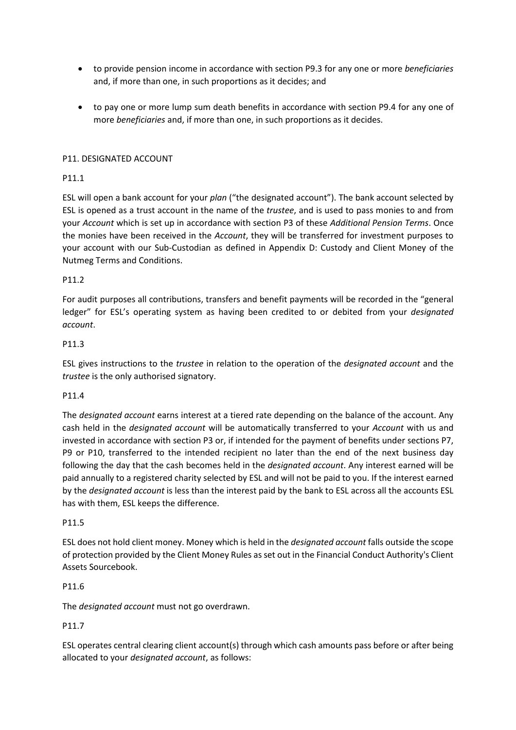- to provide pension income in accordance with section P9.3 for any one or more *beneficiaries* and, if more than one, in such proportions as it decides; and
- to pay one or more lump sum death benefits in accordance with section P9.4 for any one of more *beneficiaries* and, if more than one, in such proportions as it decides.

## P11. DESIGNATED ACCOUNT

#### P11.1

ESL will open a bank account for your *plan* ("the designated account"). The bank account selected by ESL is opened as a trust account in the name of the *trustee*, and is used to pass monies to and from your *Account* which is set up in accordance with section P3 of these *Additional Pension Terms*. Once the monies have been received in the *Account*, they will be transferred for investment purposes to your account with our Sub-Custodian as defined in Appendix D: Custody and Client Money of the Nutmeg Terms and Conditions.

#### P11.2

For audit purposes all contributions, transfers and benefit payments will be recorded in the "general ledger" for ESL's operating system as having been credited to or debited from your *designated account*.

#### P11.3

ESL gives instructions to the *trustee* in relation to the operation of the *designated account* and the *trustee* is the only authorised signatory.

#### P11.4

The *designated account* earns interest at a tiered rate depending on the balance of the account. Any cash held in the *designated account* will be automatically transferred to your *Account* with us and invested in accordance with section P3 or, if intended for the payment of benefits under sections P7, P9 or P10, transferred to the intended recipient no later than the end of the next business day following the day that the cash becomes held in the *designated account*. Any interest earned will be paid annually to a registered charity selected by ESL and will not be paid to you. If the interest earned by the *designated account* is less than the interest paid by the bank to ESL across all the accounts ESL has with them, ESL keeps the difference.

#### P11.5

ESL does not hold client money. Money which is held in the *designated account* falls outside the scope of protection provided by the Client Money Rules as set out in the Financial Conduct Authority's Client Assets Sourcebook.

#### P11.6

The *designated account* must not go overdrawn.

#### P11.7

ESL operates central clearing client account(s) through which cash amounts pass before or after being allocated to your *designated account*, as follows: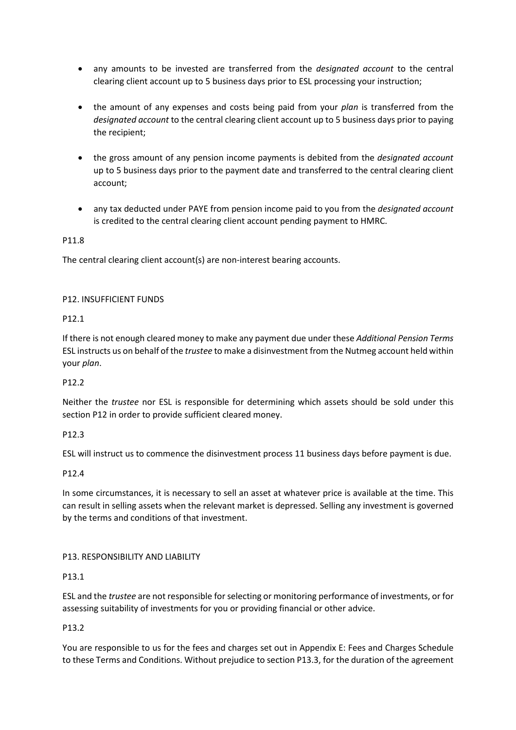- any amounts to be invested are transferred from the *designated account* to the central clearing client account up to 5 business days prior to ESL processing your instruction;
- the amount of any expenses and costs being paid from your *plan* is transferred from the *designated account* to the central clearing client account up to 5 business days prior to paying the recipient;
- the gross amount of any pension income payments is debited from the *designated account* up to 5 business days prior to the payment date and transferred to the central clearing client account;
- any tax deducted under PAYE from pension income paid to you from the *designated account* is credited to the central clearing client account pending payment to HMRC.

P11.8

The central clearing client account(s) are non-interest bearing accounts.

## P12. INSUFFICIENT FUNDS

P12.1

If there is not enough cleared money to make any payment due under these *Additional Pension Terms* ESL instructs us on behalf of the *trustee* to make a disinvestment from the Nutmeg account held within your *plan*.

# P12.2

Neither the *trustee* nor ESL is responsible for determining which assets should be sold under this section P12 in order to provide sufficient cleared money.

## P12.3

ESL will instruct us to commence the disinvestment process 11 business days before payment is due.

# P12.4

In some circumstances, it is necessary to sell an asset at whatever price is available at the time. This can result in selling assets when the relevant market is depressed. Selling any investment is governed by the terms and conditions of that investment.

# P13. RESPONSIBILITY AND LIABILITY

P13.1

ESL and the *trustee* are not responsible for selecting or monitoring performance of investments, or for assessing suitability of investments for you or providing financial or other advice.

## P13.2

You are responsible to us for the fees and charges set out in Appendix E: Fees and Charges Schedule to these Terms and Conditions. Without prejudice to section P13.3, for the duration of the agreement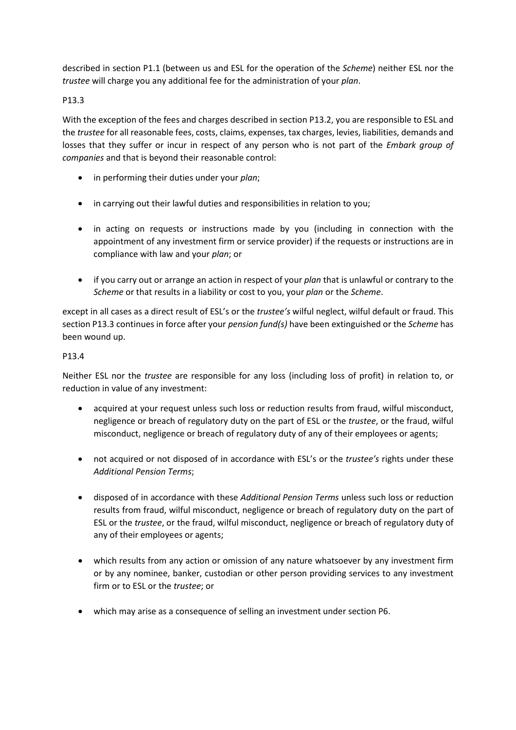described in section P1.1 (between us and ESL for the operation of the *Scheme*) neither ESL nor the *trustee* will charge you any additional fee for the administration of your *plan*.

P13.3

With the exception of the fees and charges described in section P13.2, you are responsible to ESL and the *trustee* for all reasonable fees, costs, claims, expenses, tax charges, levies, liabilities, demands and losses that they suffer or incur in respect of any person who is not part of the *Embark group of companies* and that is beyond their reasonable control:

- in performing their duties under your *plan*;
- in carrying out their lawful duties and responsibilities in relation to you;
- in acting on requests or instructions made by you (including in connection with the appointment of any investment firm or service provider) if the requests or instructions are in compliance with law and your *plan*; or
- if you carry out or arrange an action in respect of your *plan* that is unlawful or contrary to the *Scheme* or that results in a liability or cost to you, your *plan* or the *Scheme*.

except in all cases as a direct result of ESL's or the *trustee's* wilful neglect, wilful default or fraud. This section P13.3 continues in force after your *pension fund(s)* have been extinguished or the *Scheme* has been wound up.

## P13.4

Neither ESL nor the *trustee* are responsible for any loss (including loss of profit) in relation to, or reduction in value of any investment:

- acquired at your request unless such loss or reduction results from fraud, wilful misconduct, negligence or breach of regulatory duty on the part of ESL or the *trustee*, or the fraud, wilful misconduct, negligence or breach of regulatory duty of any of their employees or agents;
- not acquired or not disposed of in accordance with ESL's or the *trustee's* rights under these *Additional Pension Terms*;
- disposed of in accordance with these *Additional Pension Terms* unless such loss or reduction results from fraud, wilful misconduct, negligence or breach of regulatory duty on the part of ESL or the *trustee*, or the fraud, wilful misconduct, negligence or breach of regulatory duty of any of their employees or agents;
- which results from any action or omission of any nature whatsoever by any investment firm or by any nominee, banker, custodian or other person providing services to any investment firm or to ESL or the *trustee*; or
- which may arise as a consequence of selling an investment under section P6.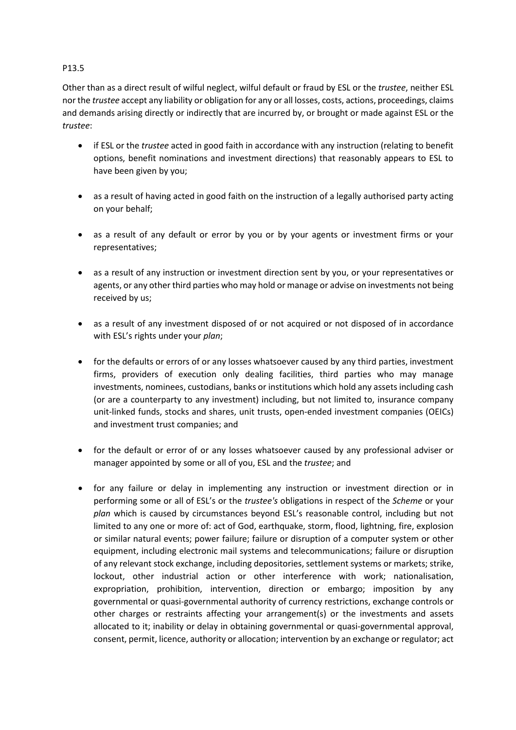## P13.5

Other than as a direct result of wilful neglect, wilful default or fraud by ESL or the *trustee*, neither ESL nor the *trustee* accept any liability or obligation for any or all losses, costs, actions, proceedings, claims and demands arising directly or indirectly that are incurred by, or brought or made against ESL or the *trustee*:

- if ESL or the *trustee* acted in good faith in accordance with any instruction (relating to benefit options, benefit nominations and investment directions) that reasonably appears to ESL to have been given by you;
- as a result of having acted in good faith on the instruction of a legally authorised party acting on your behalf;
- as a result of any default or error by you or by your agents or investment firms or your representatives;
- as a result of any instruction or investment direction sent by you, or your representatives or agents, or any other third parties who may hold or manage or advise on investments not being received by us;
- as a result of any investment disposed of or not acquired or not disposed of in accordance with ESL's rights under your *plan*;
- for the defaults or errors of or any losses whatsoever caused by any third parties, investment firms, providers of execution only dealing facilities, third parties who may manage investments, nominees, custodians, banks or institutions which hold any assets including cash (or are a counterparty to any investment) including, but not limited to, insurance company unit-linked funds, stocks and shares, unit trusts, open-ended investment companies (OEICs) and investment trust companies; and
- for the default or error of or any losses whatsoever caused by any professional adviser or manager appointed by some or all of you, ESL and the *trustee*; and
- for any failure or delay in implementing any instruction or investment direction or in performing some or all of ESL's or the *trustee's* obligations in respect of the *Scheme* or your *plan* which is caused by circumstances beyond ESL's reasonable control, including but not limited to any one or more of: act of God, earthquake, storm, flood, lightning, fire, explosion or similar natural events; power failure; failure or disruption of a computer system or other equipment, including electronic mail systems and telecommunications; failure or disruption of any relevant stock exchange, including depositories, settlement systems or markets; strike, lockout, other industrial action or other interference with work; nationalisation, expropriation, prohibition, intervention, direction or embargo; imposition by any governmental or quasi-governmental authority of currency restrictions, exchange controls or other charges or restraints affecting your arrangement(s) or the investments and assets allocated to it; inability or delay in obtaining governmental or quasi-governmental approval, consent, permit, licence, authority or allocation; intervention by an exchange or regulator; act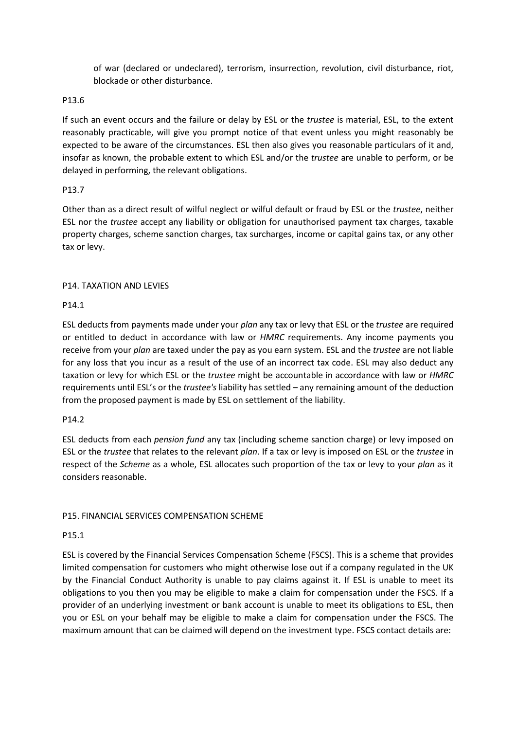of war (declared or undeclared), terrorism, insurrection, revolution, civil disturbance, riot, blockade or other disturbance.

#### P13.6

If such an event occurs and the failure or delay by ESL or the *trustee* is material, ESL, to the extent reasonably practicable, will give you prompt notice of that event unless you might reasonably be expected to be aware of the circumstances. ESL then also gives you reasonable particulars of it and, insofar as known, the probable extent to which ESL and/or the *trustee* are unable to perform, or be delayed in performing, the relevant obligations.

## P13.7

Other than as a direct result of wilful neglect or wilful default or fraud by ESL or the *trustee*, neither ESL nor the *trustee* accept any liability or obligation for unauthorised payment tax charges, taxable property charges, scheme sanction charges, tax surcharges, income or capital gains tax, or any other tax or levy.

## P14. TAXATION AND LEVIES

#### P14.1

ESL deducts from payments made under your *plan* any tax or levy that ESL or the *trustee* are required or entitled to deduct in accordance with law or *HMRC* requirements. Any income payments you receive from your *plan* are taxed under the pay as you earn system. ESL and the *trustee* are not liable for any loss that you incur as a result of the use of an incorrect tax code. ESL may also deduct any taxation or levy for which ESL or the *trustee* might be accountable in accordance with law or *HMRC* requirements until ESL's or the *trustee's* liability has settled – any remaining amount of the deduction from the proposed payment is made by ESL on settlement of the liability.

#### P14.2

ESL deducts from each *pension fund* any tax (including scheme sanction charge) or levy imposed on ESL or the *trustee* that relates to the relevant *plan*. If a tax or levy is imposed on ESL or the *trustee* in respect of the *Scheme* as a whole, ESL allocates such proportion of the tax or levy to your *plan* as it considers reasonable.

## P15. FINANCIAL SERVICES COMPENSATION SCHEME

#### P15.1

ESL is covered by the Financial Services Compensation Scheme (FSCS). This is a scheme that provides limited compensation for customers who might otherwise lose out if a company regulated in the UK by the Financial Conduct Authority is unable to pay claims against it. If ESL is unable to meet its obligations to you then you may be eligible to make a claim for compensation under the FSCS. If a provider of an underlying investment or bank account is unable to meet its obligations to ESL, then you or ESL on your behalf may be eligible to make a claim for compensation under the FSCS. The maximum amount that can be claimed will depend on the investment type. FSCS contact details are: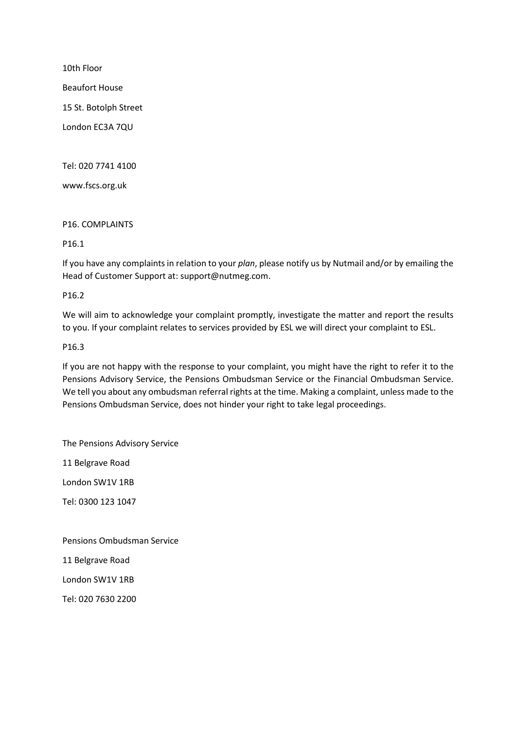10th Floor

Beaufort House

15 St. Botolph Street

London EC3A 7QU

Tel: 020 7741 4100

www.fscs.org.uk

P16. COMPLAINTS

#### P16.1

If you have any complaints in relation to your *plan*, please notify us by Nutmail and/or by emailing the Head of Customer Support at: support@nutmeg.com.

#### P16.2

We will aim to acknowledge your complaint promptly, investigate the matter and report the results to you. If your complaint relates to services provided by ESL we will direct your complaint to ESL.

#### P16.3

If you are not happy with the response to your complaint, you might have the right to refer it to the Pensions Advisory Service, the Pensions Ombudsman Service or the Financial Ombudsman Service. We tell you about any ombudsman referral rights at the time. Making a complaint, unless made to the Pensions Ombudsman Service, does not hinder your right to take legal proceedings.

The Pensions Advisory Service 11 Belgrave Road London SW1V 1RB Tel: 0300 123 1047

Pensions Ombudsman Service 11 Belgrave Road London SW1V 1RB

Tel: 020 7630 2200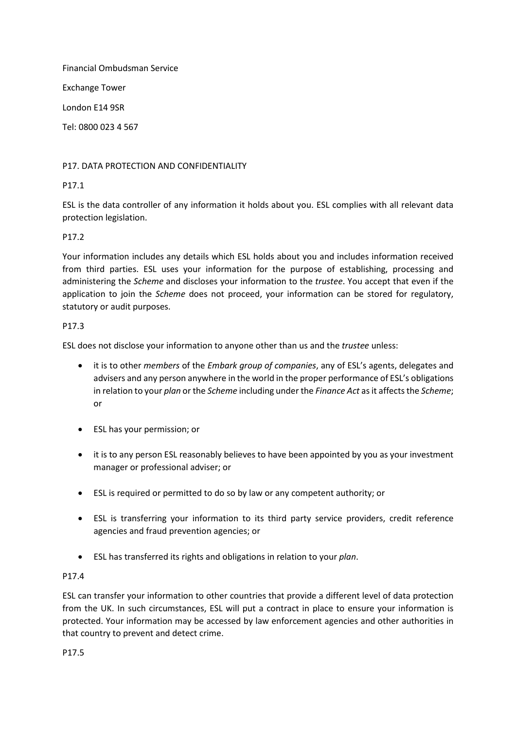Financial Ombudsman Service

Exchange Tower

London E14 9SR

Tel: 0800 023 4 567

# P17. DATA PROTECTION AND CONFIDENTIALITY

# P17.1

ESL is the data controller of any information it holds about you. ESL complies with all relevant data protection legislation.

# P<sub>17</sub>2

Your information includes any details which ESL holds about you and includes information received from third parties. ESL uses your information for the purpose of establishing, processing and administering the *Scheme* and discloses your information to the *trustee*. You accept that even if the application to join the *Scheme* does not proceed, your information can be stored for regulatory, statutory or audit purposes.

# P17.3

ESL does not disclose your information to anyone other than us and the *trustee* unless:

- it is to other *members* of the *Embark group of companies*, any of ESL's agents, delegates and advisers and any person anywhere in the world in the proper performance of ESL's obligations in relation to your *plan* or the *Scheme* including under the *Finance Act* as it affects the *Scheme*; or
- ESL has your permission; or
- it is to any person ESL reasonably believes to have been appointed by you as your investment manager or professional adviser; or
- ESL is required or permitted to do so by law or any competent authority; or
- ESL is transferring your information to its third party service providers, credit reference agencies and fraud prevention agencies; or
- ESL has transferred its rights and obligations in relation to your *plan*.

# P17.4

ESL can transfer your information to other countries that provide a different level of data protection from the UK. In such circumstances, ESL will put a contract in place to ensure your information is protected. Your information may be accessed by law enforcement agencies and other authorities in that country to prevent and detect crime.

P17.5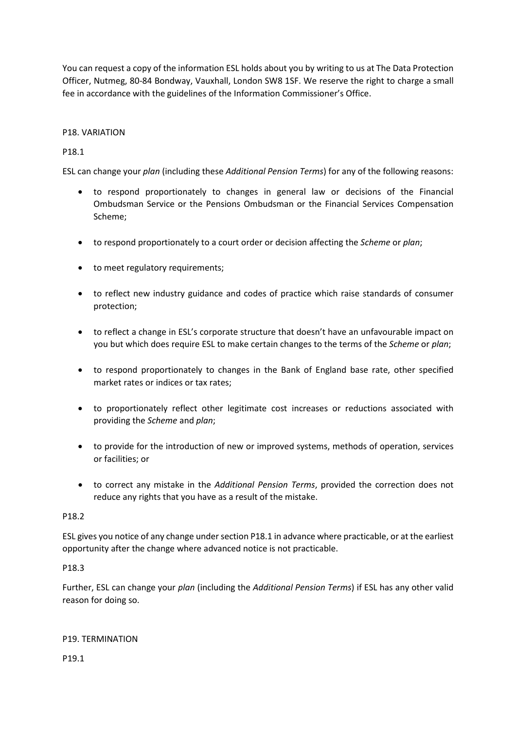You can request a copy of the information ESL holds about you by writing to us at The Data Protection Officer, Nutmeg, 80-84 Bondway, Vauxhall, London SW8 1SF. We reserve the right to charge a small fee in accordance with the guidelines of the Information Commissioner's Office.

#### P18. VARIATION

P18.1

ESL can change your *plan* (including these *Additional Pension Terms*) for any of the following reasons:

- to respond proportionately to changes in general law or decisions of the Financial Ombudsman Service or the Pensions Ombudsman or the Financial Services Compensation Scheme;
- to respond proportionately to a court order or decision affecting the *Scheme* or *plan*;
- to meet regulatory requirements;
- to reflect new industry guidance and codes of practice which raise standards of consumer protection;
- to reflect a change in ESL's corporate structure that doesn't have an unfavourable impact on you but which does require ESL to make certain changes to the terms of the *Scheme* or *plan*;
- to respond proportionately to changes in the Bank of England base rate, other specified market rates or indices or tax rates;
- to proportionately reflect other legitimate cost increases or reductions associated with providing the *Scheme* and *plan*;
- to provide for the introduction of new or improved systems, methods of operation, services or facilities; or
- to correct any mistake in the *Additional Pension Terms*, provided the correction does not reduce any rights that you have as a result of the mistake.

#### P18.2

ESL gives you notice of any change under section P18.1 in advance where practicable, or at the earliest opportunity after the change where advanced notice is not practicable.

#### P18.3

Further, ESL can change your *plan* (including the *Additional Pension Terms*) if ESL has any other valid reason for doing so.

#### P19. TERMINATION

P19.1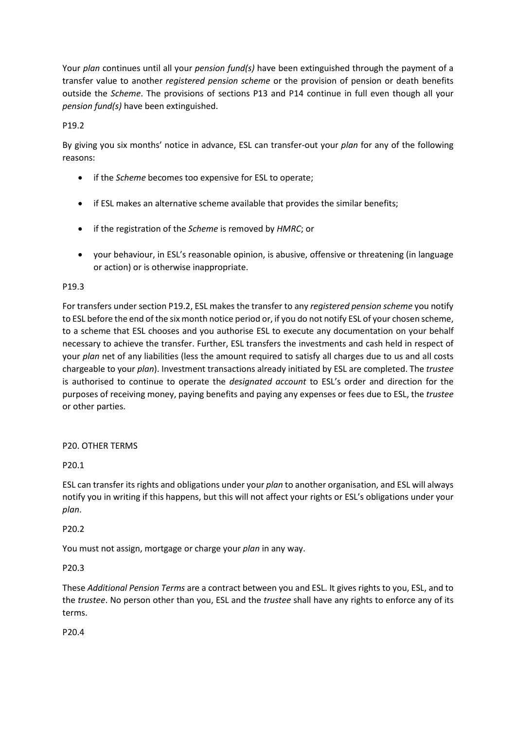Your *plan* continues until all your *pension fund(s)* have been extinguished through the payment of a transfer value to another *registered pension scheme* or the provision of pension or death benefits outside the *Scheme*. The provisions of sections P13 and P14 continue in full even though all your *pension fund(s)* have been extinguished.

P19.2

By giving you six months' notice in advance, ESL can transfer-out your *plan* for any of the following reasons:

- if the *Scheme* becomes too expensive for ESL to operate;
- if ESL makes an alternative scheme available that provides the similar benefits;
- if the registration of the *Scheme* is removed by *HMRC*; or
- your behaviour, in ESL's reasonable opinion, is abusive, offensive or threatening (in language or action) or is otherwise inappropriate.

#### P19.3

For transfers under section P19.2, ESL makes the transfer to any *registered pension scheme* you notify to ESL before the end of the six month notice period or, if you do not notify ESL of your chosen scheme, to a scheme that ESL chooses and you authorise ESL to execute any documentation on your behalf necessary to achieve the transfer. Further, ESL transfers the investments and cash held in respect of your *plan* net of any liabilities (less the amount required to satisfy all charges due to us and all costs chargeable to your *plan*). Investment transactions already initiated by ESL are completed. The *trustee* is authorised to continue to operate the *designated account* to ESL's order and direction for the purposes of receiving money, paying benefits and paying any expenses or fees due to ESL, the *trustee* or other parties.

#### P20. OTHER TERMS

P20.1

ESL can transfer its rights and obligations under your *plan* to another organisation, and ESL will always notify you in writing if this happens, but this will not affect your rights or ESL's obligations under your *plan*.

P20.2

You must not assign, mortgage or charge your *plan* in any way.

P20.3

These *Additional Pension Terms* are a contract between you and ESL. It gives rights to you, ESL, and to the *trustee*. No person other than you, ESL and the *trustee* shall have any rights to enforce any of its terms.

P20.4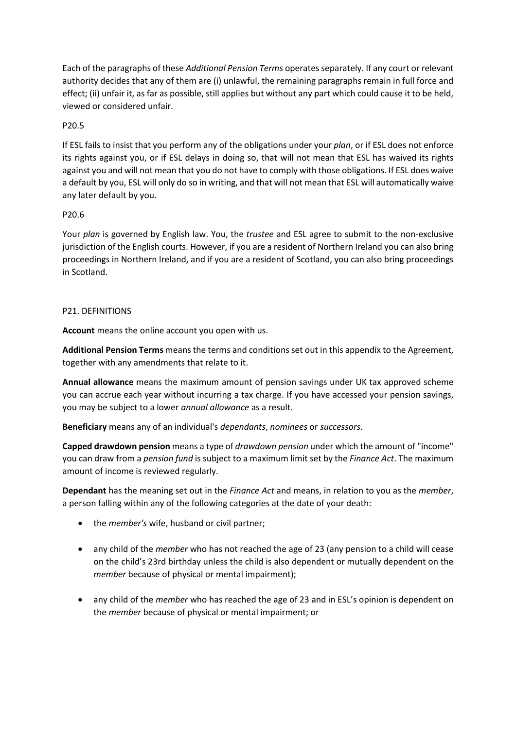Each of the paragraphs of these *Additional Pension Terms* operates separately. If any court or relevant authority decides that any of them are (i) unlawful, the remaining paragraphs remain in full force and effect; (ii) unfair it, as far as possible, still applies but without any part which could cause it to be held, viewed or considered unfair.

P20.5

If ESL fails to insist that you perform any of the obligations under your *plan*, or if ESL does not enforce its rights against you, or if ESL delays in doing so, that will not mean that ESL has waived its rights against you and will not mean that you do not have to comply with those obligations. If ESL does waive a default by you, ESL will only do so in writing, and that will not mean that ESL will automatically waive any later default by you.

## P20.6

Your *plan* is governed by English law. You, the *trustee* and ESL agree to submit to the non-exclusive jurisdiction of the English courts. However, if you are a resident of Northern Ireland you can also bring proceedings in Northern Ireland, and if you are a resident of Scotland, you can also bring proceedings in Scotland.

#### P21. DEFINITIONS

**Account** means the online account you open with us.

**Additional Pension Terms** means the terms and conditions set out in this appendix to the Agreement, together with any amendments that relate to it.

**Annual allowance** means the maximum amount of pension savings under UK tax approved scheme you can accrue each year without incurring a tax charge. If you have accessed your pension savings, you may be subject to a lower *annual allowance* as a result.

**Beneficiary** means any of an individual's *dependants*, *nominees* or *successors*.

**Capped drawdown pension** means a type of *drawdown pension* under which the amount of "income" you can draw from a *pension fund* is subject to a maximum limit set by the *Finance Act*. The maximum amount of income is reviewed regularly.

**Dependant** has the meaning set out in the *Finance Act* and means, in relation to you as the *member*, a person falling within any of the following categories at the date of your death:

- the *member's* wife, husband or civil partner;
- any child of the *member* who has not reached the age of 23 (any pension to a child will cease on the child's 23rd birthday unless the child is also dependent or mutually dependent on the *member* because of physical or mental impairment);
- any child of the *member* who has reached the age of 23 and in ESL's opinion is dependent on the *member* because of physical or mental impairment; or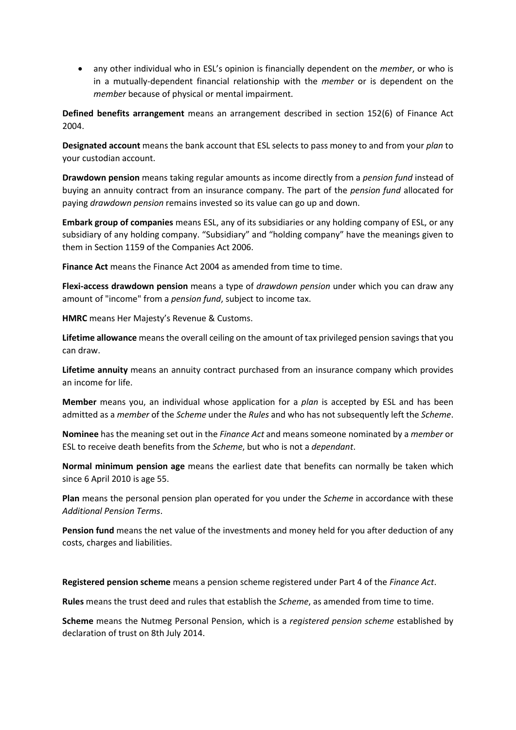• any other individual who in ESL's opinion is financially dependent on the *member*, or who is in a mutually-dependent financial relationship with the *member* or is dependent on the *member* because of physical or mental impairment.

**Defined benefits arrangement** means an arrangement described in section 152(6) of Finance Act 2004.

**Designated account** means the bank account that ESL selects to pass money to and from your *plan* to your custodian account.

**Drawdown pension** means taking regular amounts as income directly from a *pension fund* instead of buying an annuity contract from an insurance company. The part of the *pension fund* allocated for paying *drawdown pension* remains invested so its value can go up and down.

**Embark group of companies** means ESL, any of its subsidiaries or any holding company of ESL, or any subsidiary of any holding company. "Subsidiary" and "holding company" have the meanings given to them in Section 1159 of the Companies Act 2006.

**Finance Act** means the Finance Act 2004 as amended from time to time.

**Flexi-access drawdown pension** means a type of *drawdown pension* under which you can draw any amount of "income" from a *pension fund*, subject to income tax.

**HMRC** means Her Majesty's Revenue & Customs.

**Lifetime allowance** means the overall ceiling on the amount of tax privileged pension savings that you can draw.

**Lifetime annuity** means an annuity contract purchased from an insurance company which provides an income for life.

**Member** means you, an individual whose application for a *plan* is accepted by ESL and has been admitted as a *member* of the *Scheme* under the *Rules* and who has not subsequently left the *Scheme*.

**Nominee** has the meaning set out in the *Finance Act* and means someone nominated by a *member* or ESL to receive death benefits from the *Scheme*, but who is not a *dependant*.

**Normal minimum pension age** means the earliest date that benefits can normally be taken which since 6 April 2010 is age 55.

**Plan** means the personal pension plan operated for you under the *Scheme* in accordance with these *Additional Pension Terms*.

**Pension fund** means the net value of the investments and money held for you after deduction of any costs, charges and liabilities.

**Registered pension scheme** means a pension scheme registered under Part 4 of the *Finance Act*.

**Rules** means the trust deed and rules that establish the *Scheme*, as amended from time to time.

**Scheme** means the Nutmeg Personal Pension, which is a *registered pension scheme* established by declaration of trust on 8th July 2014.